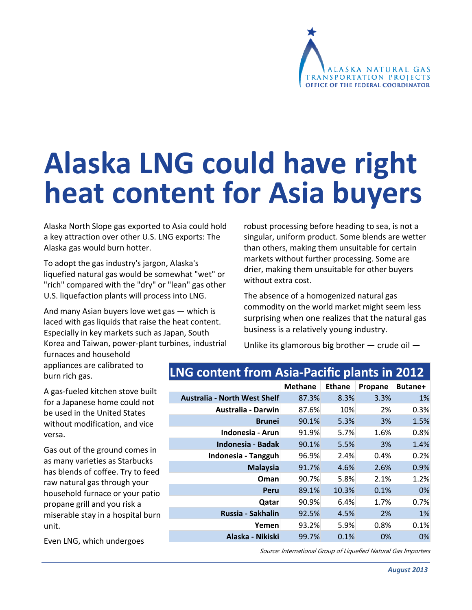

# **Alaska LNG could have right heat content for Asia buyers**

Alaska North Slope gas exported to Asia could hold a key attraction over other U.S. LNG exports: The Alaska gas would burn hotter.

To adopt the gas industry's jargon, Alaska's liquefied natural gas would be somewhat "wet" or "rich" compared with the "dry" or "lean" gas other U.S. liquefaction plants will process into LNG.

And many Asian buyers love wet gas — which is laced with gas liquids that raise the heat content. Especially in key markets such as Japan, South Korea and Taiwan, power‐plant turbines, industrial robust processing before heading to sea, is not a singular, uniform product. Some blends are wetter than others, making them unsuitable for certain markets without further processing. Some are drier, making them unsuitable for other buyers without extra cost.

The absence of a homogenized natural gas commodity on the world market might seem less surprising when one realizes that the natural gas business is a relatively young industry.

Unlike its glamorous big brother — crude oil —

furnaces and household appliances are calibrated to burn rich gas.

A gas‐fueled kitchen stove built for a Japanese home could not be used in the United States without modification, and vice versa.

Gas out of the ground comes in as many varieties as Starbucks has blends of coffee. Try to feed raw natural gas through your household furnace or your patio propane grill and you risk a miserable stay in a hospital burn unit.

Even LNG, which undergoes

## **LNG content from Asia‐Pacific plants in 2012**

|                                     | <b>Methane</b> | <b>Ethane</b> | Propane | Butane+ |
|-------------------------------------|----------------|---------------|---------|---------|
| <b>Australia - North West Shelf</b> | 87.3%          | 8.3%          | 3.3%    | 1%      |
| <b>Australia - Darwin</b>           | 87.6%          | 10%           | 2%      | 0.3%    |
| <b>Brunei</b>                       | 90.1%          | 5.3%          | 3%      | 1.5%    |
| Indonesia - Arun                    | 91.9%          | 5.7%          | 1.6%    | 0.8%    |
| Indonesia - Badak                   | 90.1%          | 5.5%          | 3%      | 1.4%    |
| Indonesia - Tangguh                 | 96.9%          | 2.4%          | 0.4%    | 0.2%    |
| <b>Malaysia</b>                     | 91.7%          | 4.6%          | 2.6%    | 0.9%    |
| Oman                                | 90.7%          | 5.8%          | 2.1%    | 1.2%    |
| Peru                                | 89.1%          | 10.3%         | 0.1%    | 0%      |
| Qatar                               | 90.9%          | 6.4%          | 1.7%    | 0.7%    |
| Russia - Sakhalin                   | 92.5%          | 4.5%          | 2%      | $1\%$   |
| Yemen                               | 93.2%          | 5.9%          | 0.8%    | 0.1%    |
| Alaska - Nikiski                    | 99.7%          | 0.1%          | 0%      | 0%      |

Source: International Group of Liquefied Natural Gas Importers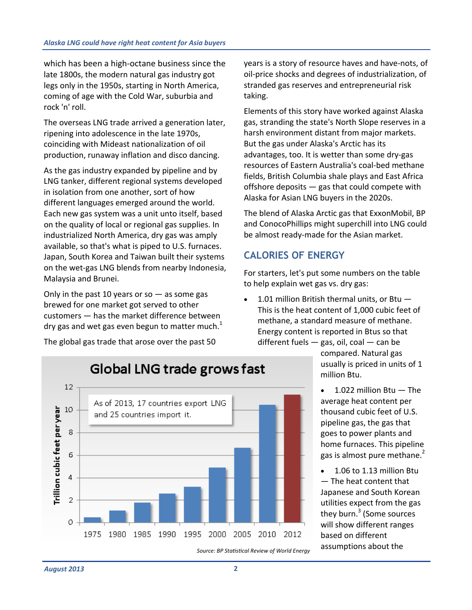which has been a high‐octane business since the late 1800s, the modern natural gas industry got legs only in the 1950s, starting in North America, coming of age with the Cold War, suburbia and rock 'n' roll.

The overseas LNG trade arrived a generation later, ripening into adolescence in the late 1970s, coinciding with Mideast nationalization of oil production, runaway inflation and disco dancing.

As the gas industry expanded by pipeline and by LNG tanker, different regional systems developed in isolation from one another, sort of how different languages emerged around the world. Each new gas system was a unit unto itself, based on the quality of local or regional gas supplies. In industrialized North America, dry gas was amply available, so that's what is piped to U.S. furnaces. Japan, South Korea and Taiwan built their systems on the wet‐gas LNG blends from nearby Indonesia, Malaysia and Brunei.

Only in the past 10 years or so  $-$  as some gas brewed for one market got served to other customers — has the market difference between dry gas and wet gas even begun to matter much. $1$ 

The global gas trade that arose over the past 50

years is a story of resource haves and have‐nots, of oil‐price shocks and degrees of industrialization, of stranded gas reserves and entrepreneurial risk taking.

Elements of this story have worked against Alaska gas, stranding the state's North Slope reserves in a harsh environment distant from major markets. But the gas under Alaska's Arctic has its advantages, too. It is wetter than some dry‐gas resources of Eastern Australia's coal‐bed methane fields, British Columbia shale plays and East Africa offshore deposits — gas that could compete with Alaska for Asian LNG buyers in the 2020s.

The blend of Alaska Arctic gas that ExxonMobil, BP and ConocoPhillips might superchill into LNG could be almost ready‐made for the Asian market.

## **CALORIES OF ENERGY**

For starters, let's put some numbers on the table to help explain wet gas vs. dry gas:

 1.01 million British thermal units, or Btu — This is the heat content of 1,000 cubic feet of methane, a standard measure of methane. Energy content is reported in Btus so that different fuels — gas, oil, coal — can be

compared. Natural gas usually is priced in units of 1 million Btu.

- 1.022 million Btu The average heat content per thousand cubic feet of U.S. pipeline gas, the gas that goes to power plants and home furnaces. This pipeline gas is almost pure methane.<sup>2</sup>
- 1.06 to 1.13 million Btu — The heat content that Japanese and South Korean utilities expect from the gas they burn.<sup>3</sup> (Some sources will show different ranges based on different assumptions about the *Source: BP StaƟsƟcal Review of World Energy*

 $12<sup>2</sup>$ 

10

8

6

4

 $\overline{2}$ 

Ō.

Trillion cubic feet per year



1975 1980 1985 1990 1995 2000 2005 2010 2012

As of 2013, 17 countries export LNG

and 25 countries import it.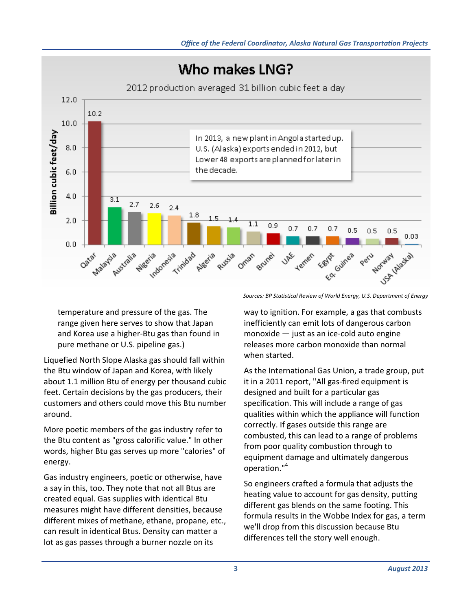

temperature and pressure of the gas. The range given here serves to show that Japan and Korea use a higher‐Btu gas than found in pure methane or U.S. pipeline gas.)

Liquefied North Slope Alaska gas should fall within the Btu window of Japan and Korea, with likely about 1.1 million Btu of energy per thousand cubic feet. Certain decisions by the gas producers, their customers and others could move this Btu number around.

More poetic members of the gas industry refer to the Btu content as "gross calorific value." In other words, higher Btu gas serves up more "calories" of energy.

Gas industry engineers, poetic or otherwise, have a say in this, too. They note that not all Btus are created equal. Gas supplies with identical Btu measures might have different densities, because different mixes of methane, ethane, propane, etc., can result in identical Btus. Density can matter a lot as gas passes through a burner nozzle on its

*Sources: BP StaƟsƟcal Review of World Energy, U.S. Department of Energy* 

way to ignition. For example, a gas that combusts inefficiently can emit lots of dangerous carbon monoxide — just as an ice‐cold auto engine releases more carbon monoxide than normal when started.

As the International Gas Union, a trade group, put it in a 2011 report, "All gas‐fired equipment is designed and built for a particular gas specification. This will include a range of gas qualities within which the appliance will function correctly. If gases outside this range are combusted, this can lead to a range of problems from poor quality combustion through to equipment damage and ultimately dangerous operation."<sup>4</sup>

So engineers crafted a formula that adjusts the heating value to account for gas density, putting different gas blends on the same footing. This formula results in the Wobbe Index for gas, a term we'll drop from this discussion because Btu differences tell the story well enough.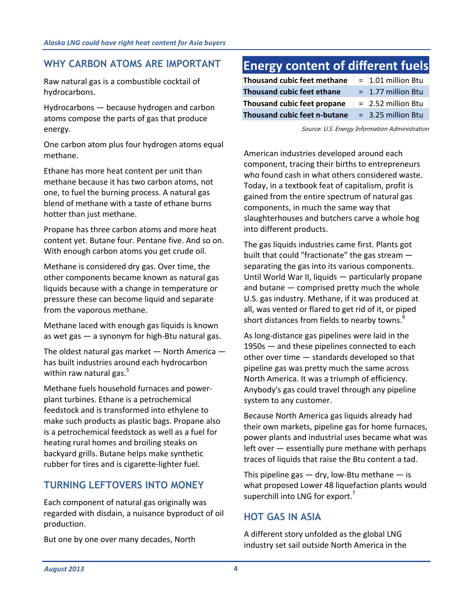## **WHY CARBON ATOMS ARE IMPORTANT**

Raw natural gas is a combustible cocktail of hydrocarbons.

Hydrocarbons — because hydrogen and carbon atoms compose the parts of gas that produce energy.

One carbon atom plus four hydrogen atoms equal methane.

Ethane has more heat content per unit than methane because it has two carbon atoms, not one, to fuel the burning process. A natural gas blend of methane with a taste of ethane burns hotter than just methane.

Propane has three carbon atoms and more heat content yet. Butane four. Pentane five. And so on. With enough carbon atoms you get crude oil.

Methane is considered dry gas. Over time, the other components became known as natural gas liquids because with a change in temperature or pressure these can become liquid and separate from the vaporous methane.

Methane laced with enough gas liquids is known as wet gas — a synonym for high‐Btu natural gas.

The oldest natural gas market  $-$  North America  $$ has built industries around each hydrocarbon within raw natural gas. $5$ 

Methane fuels household furnaces and power‐ plant turbines. Ethane is a petrochemical feedstock and is transformed into ethylene to make such products as plastic bags. Propane also is a petrochemical feedstock as well as a fuel for heating rural homes and broiling steaks on backyard grills. Butane helps make synthetic rubber for tires and is cigarette‐lighter fuel.

## **TURNING LEFTOVERS INTO MONEY**

Each component of natural gas originally was regarded with disdain, a nuisance byproduct of oil production.

But one by one over many decades, North

# **Energy content of different fuels**

| Thousand cubic feet methane  | $=$ 1.01 million Btu |
|------------------------------|----------------------|
| Thousand cubic feet ethane   | $= 1.77$ million Btu |
| Thousand cubic feet propane  | $=$ 2.52 million Btu |
| Thousand cubic feet n-butane | $=$ 3.25 million Btu |

Source: U.S. Energy Information Administration

American industries developed around each component, tracing their births to entrepreneurs who found cash in what others considered waste. Today, in a textbook feat of capitalism, profit is gained from the entire spectrum of natural gas components, in much the same way that slaughterhouses and butchers carve a whole hog into different products.

The gas liquids industries came first. Plants got built that could "fractionate" the gas stream separating the gas into its various components. Until World War II, liquids — particularly propane and butane — comprised pretty much the whole U.S. gas industry. Methane, if it was produced at all, was vented or flared to get rid of it, or piped short distances from fields to nearby towns.<sup>6</sup>

As long‐distance gas pipelines were laid in the 1950s — and these pipelines connected to each other over time — standards developed so that pipeline gas was pretty much the same across North America. It was a triumph of efficiency. Anybody's gas could travel through any pipeline system to any customer.

Because North America gas liquids already had their own markets, pipeline gas for home furnaces, power plants and industrial uses became what was left over — essentially pure methane with perhaps traces of liquids that raise the Btu content a tad.

This pipeline gas  $-$  dry, low-Btu methane  $-$  is what proposed Lower 48 liquefaction plants would superchill into LNG for export.<sup>7</sup>

## **HOT GAS IN ASIA**

A different story unfolded as the global LNG industry set sail outside North America in the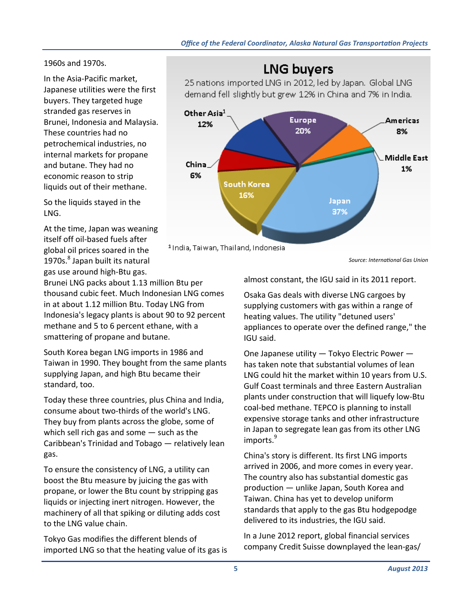1960s and 1970s.

In the Asia‐Pacific market, Japanese utilities were the first buyers. They targeted huge stranded gas reserves in Brunei, Indonesia and Malaysia. These countries had no petrochemical industries, no internal markets for propane and butane. They had no economic reason to strip liquids out of their methane.

So the liquids stayed in the LNG.

At the time, Japan was weaning itself off oil‐based fuels after global oil prices soared in the 1970s.<sup>8</sup> Japan built its natural gas use around high‐Btu gas.

Brunei LNG packs about 1.13 million Btu per thousand cubic feet. Much Indonesian LNG comes in at about 1.12 million Btu. Today LNG from Indonesia's legacy plants is about 90 to 92 percent methane and 5 to 6 percent ethane, with a smattering of propane and butane.

South Korea began LNG imports in 1986 and Taiwan in 1990. They bought from the same plants supplying Japan, and high Btu became their standard, too.

Today these three countries, plus China and India, consume about two‐thirds of the world's LNG. They buy from plants across the globe, some of which sell rich gas and some — such as the Caribbean's Trinidad and Tobago — relatively lean gas.

To ensure the consistency of LNG, a utility can boost the Btu measure by juicing the gas with propane, or lower the Btu count by stripping gas liquids or injecting inert nitrogen. However, the machinery of all that spiking or diluting adds cost to the LNG value chain.

Tokyo Gas modifies the different blends of imported LNG so that the heating value of its gas is

# **LNG buyers**

25 nations imported LNG in 2012, led by Japan. Global LNG demand fell slightly but grew 12% in China and 7% in India.



*Source: InternaƟonal Gas Union* 

almost constant, the IGU said in its 2011 report.

Osaka Gas deals with diverse LNG cargoes by supplying customers with gas within a range of heating values. The utility "detuned users' appliances to operate over the defined range," the IGU said.

One Japanese utility — Tokyo Electric Power has taken note that substantial volumes of lean LNG could hit the market within 10 years from U.S. Gulf Coast terminals and three Eastern Australian plants under construction that will liquefy low‐Btu coal‐bed methane. TEPCO is planning to install expensive storage tanks and other infrastructure in Japan to segregate lean gas from its other LNG imports.<sup>9</sup>

China's story is different. Its first LNG imports arrived in 2006, and more comes in every year. The country also has substantial domestic gas production — unlike Japan, South Korea and Taiwan. China has yet to develop uniform standards that apply to the gas Btu hodgepodge delivered to its industries, the IGU said.

In a June 2012 report, global financial services company Credit Suisse downplayed the lean‐gas/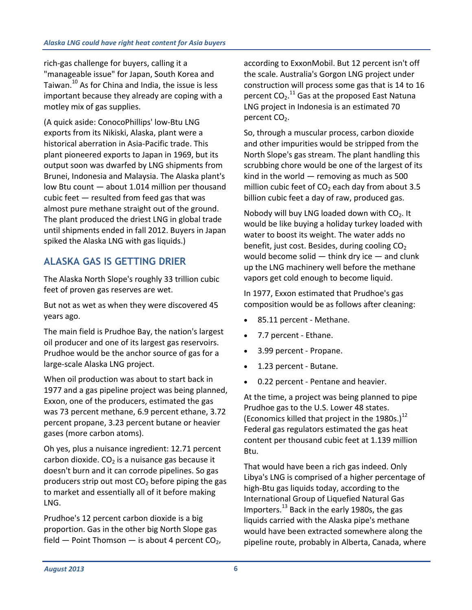rich‐gas challenge for buyers, calling it a "manageable issue" for Japan, South Korea and Taiwan.<sup>10</sup> As for China and India, the issue is less important because they already are coping with a motley mix of gas supplies.

(A quick aside: ConocoPhillips' low‐Btu LNG exports from its Nikiski, Alaska, plant were a historical aberration in Asia‐Pacific trade. This plant pioneered exports to Japan in 1969, but its output soon was dwarfed by LNG shipments from Brunei, Indonesia and Malaysia. The Alaska plant's low Btu count — about 1.014 million per thousand cubic feet — resulted from feed gas that was almost pure methane straight out of the ground. The plant produced the driest LNG in global trade until shipments ended in fall 2012. Buyers in Japan spiked the Alaska LNG with gas liquids.)

## **ALASKA GAS IS GETTING DRIER**

The Alaska North Slope's roughly 33 trillion cubic feet of proven gas reserves are wet.

But not as wet as when they were discovered 45 years ago.

The main field is Prudhoe Bay, the nation's largest oil producer and one of its largest gas reservoirs. Prudhoe would be the anchor source of gas for a large‐scale Alaska LNG project.

When oil production was about to start back in 1977 and a gas pipeline project was being planned, Exxon, one of the producers, estimated the gas was 73 percent methane, 6.9 percent ethane, 3.72 percent propane, 3.23 percent butane or heavier gases (more carbon atoms).

Oh yes, plus a nuisance ingredient: 12.71 percent carbon dioxide.  $CO<sub>2</sub>$  is a nuisance gas because it doesn't burn and it can corrode pipelines. So gas producers strip out most  $CO<sub>2</sub>$  before piping the gas to market and essentially all of it before making LNG.

Prudhoe's 12 percent carbon dioxide is a big proportion. Gas in the other big North Slope gas field  $-$  Point Thomson  $-$  is about 4 percent CO<sub>2</sub>, according to ExxonMobil. But 12 percent isn't off the scale. Australia's Gorgon LNG project under construction will process some gas that is 14 to 16 percent  $CO_2$ .<sup>11</sup> Gas at the proposed East Natuna LNG project in Indonesia is an estimated 70 percent CO<sub>2</sub>.

So, through a muscular process, carbon dioxide and other impurities would be stripped from the North Slope's gas stream. The plant handling this scrubbing chore would be one of the largest of its kind in the world — removing as much as 500 million cubic feet of  $CO<sub>2</sub>$  each day from about 3.5 billion cubic feet a day of raw, produced gas.

Nobody will buy LNG loaded down with  $CO<sub>2</sub>$ . It would be like buying a holiday turkey loaded with water to boost its weight. The water adds no benefit, just cost. Besides, during cooling  $CO<sub>2</sub>$ would become solid  $-$  think dry ice  $-$  and clunk up the LNG machinery well before the methane vapors get cold enough to become liquid.

In 1977, Exxon estimated that Prudhoe's gas composition would be as follows after cleaning:

- 85.11 percent ‐ Methane.
- 7.7 percent ‐ Ethane.
- 3.99 percent ‐ Propane.
- 1.23 percent ‐ Butane.
- 0.22 percent ‐ Pentane and heavier.

At the time, a project was being planned to pipe Prudhoe gas to the U.S. Lower 48 states. (Economics killed that project in the 1980s.)<sup>12</sup> Federal gas regulators estimated the gas heat content per thousand cubic feet at 1.139 million Btu.

That would have been a rich gas indeed. Only Libya's LNG is comprised of a higher percentage of high‐Btu gas liquids today, according to the International Group of Liquefied Natural Gas Importers.<sup>13</sup> Back in the early 1980s, the gas liquids carried with the Alaska pipe's methane would have been extracted somewhere along the pipeline route, probably in Alberta, Canada, where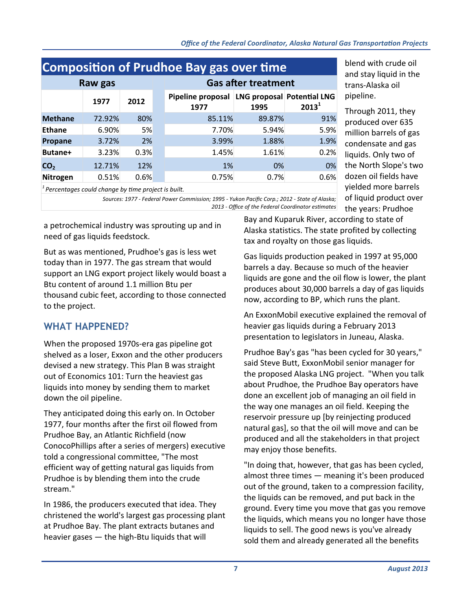| <b>Composition of Prudhoe Bay gas over time</b> |        |      |                            |                                                      |        |          |  |  |  |
|-------------------------------------------------|--------|------|----------------------------|------------------------------------------------------|--------|----------|--|--|--|
| Raw gas                                         |        |      | <b>Gas after treatment</b> |                                                      |        |          |  |  |  |
|                                                 | 1977   | 2012 |                            | Pipeline proposal LNG proposal Potential LNG<br>1977 | 1995   | $2013^1$ |  |  |  |
| <b>Methane</b>                                  | 72.92% | 80%  |                            | 85.11%                                               | 89.87% | 91%      |  |  |  |
| <b>Ethane</b>                                   | 6.90%  | 5%   |                            | 7.70%                                                | 5.94%  | 5.9%     |  |  |  |
| Propane                                         | 3.72%  | 2%   |                            | 3.99%                                                | 1.88%  | 1.9%     |  |  |  |
| Butane+                                         | 3.23%  | 0.3% |                            | 1.45%                                                | 1.61%  | 0.2%     |  |  |  |
| CO <sub>2</sub>                                 | 12.71% | 12%  |                            | 1%                                                   | 0%     | 0%       |  |  |  |
| Nitrogen                                        | 0.51%  | 0.6% |                            | 0.75%                                                | 0.7%   | 0.6%     |  |  |  |
| $1 -$                                           |        |      |                            |                                                      |        |          |  |  |  |

blend with crude oil and stay liquid in the trans‐Alaska oil pipeline.

Through 2011, they produced over 635 million barrels of gas condensate and gas liquids. Only two of the North Slope's two dozen oil fields have yielded more barrels of liquid product over the years: Prudhoe

*Percentages could change by time project is built.* 

*Sources: 1977 ‐ Federal Power Commission; 1995 ‐ Yukon Pacific Corp.; 2012 ‐ State of Alaska; 2013 ‐ Office of the Federal Coordinator esƟmates* 

a petrochemical industry was sprouting up and in need of gas liquids feedstock.

But as was mentioned, Prudhoe's gas is less wet today than in 1977. The gas stream that would support an LNG export project likely would boast a Btu content of around 1.1 million Btu per thousand cubic feet, according to those connected to the project.

## **WHAT HAPPENED?**

When the proposed 1970s-era gas pipeline got shelved as a loser, Exxon and the other producers devised a new strategy. This Plan B was straight out of Economics 101: Turn the heaviest gas liquids into money by sending them to market down the oil pipeline.

They anticipated doing this early on. In October 1977, four months after the first oil flowed from Prudhoe Bay, an Atlantic Richfield (now ConocoPhillips after a series of mergers) executive told a congressional committee, "The most efficient way of getting natural gas liquids from Prudhoe is by blending them into the crude stream."

In 1986, the producers executed that idea. They christened the world's largest gas processing plant at Prudhoe Bay. The plant extracts butanes and heavier gases — the high‐Btu liquids that will

Bay and Kuparuk River, according to state of Alaska statistics. The state profited by collecting tax and royalty on those gas liquids.

Gas liquids production peaked in 1997 at 95,000 barrels a day. Because so much of the heavier liquids are gone and the oil flow is lower, the plant produces about 30,000 barrels a day of gas liquids now, according to BP, which runs the plant.

An ExxonMobil executive explained the removal of heavier gas liquids during a February 2013 presentation to legislators in Juneau, Alaska.

Prudhoe Bay's gas "has been cycled for 30 years," said Steve Butt, ExxonMobil senior manager for the proposed Alaska LNG project. "When you talk about Prudhoe, the Prudhoe Bay operators have done an excellent job of managing an oil field in the way one manages an oil field. Keeping the reservoir pressure up [by reinjecting produced natural gas], so that the oil will move and can be produced and all the stakeholders in that project may enjoy those benefits.

"In doing that, however, that gas has been cycled, almost three times — meaning it's been produced out of the ground, taken to a compression facility, the liquids can be removed, and put back in the ground. Every time you move that gas you remove the liquids, which means you no longer have those liquids to sell. The good news is you've already sold them and already generated all the benefits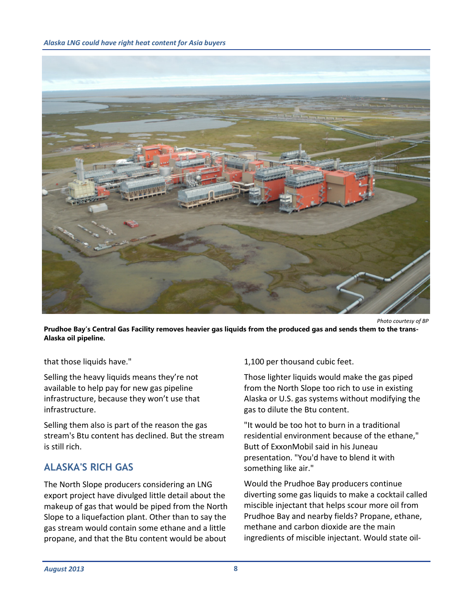

**Prudhoe Bay's Central Gas Facility removes heavier gas liquids from the produced gas and sends them to the trans-Alaska oil pipeline.**

that those liquids have."

Selling the heavy liquids means they're not available to help pay for new gas pipeline infrastructure, because they won't use that infrastructure.

Selling them also is part of the reason the gas stream's Btu content has declined. But the stream is still rich.

## **ALASKA'S RICH GAS**

The North Slope producers considering an LNG export project have divulged little detail about the makeup of gas that would be piped from the North Slope to a liquefaction plant. Other than to say the gas stream would contain some ethane and a little propane, and that the Btu content would be about 1,100 per thousand cubic feet.

Those lighter liquids would make the gas piped from the North Slope too rich to use in existing Alaska or U.S. gas systems without modifying the gas to dilute the Btu content.

"It would be too hot to burn in a traditional residential environment because of the ethane," Butt of ExxonMobil said in his Juneau presentation. "You'd have to blend it with something like air."

Would the Prudhoe Bay producers continue diverting some gas liquids to make a cocktail called miscible injectant that helps scour more oil from Prudhoe Bay and nearby fields? Propane, ethane, methane and carbon dioxide are the main ingredients of miscible injectant. Would state oil‐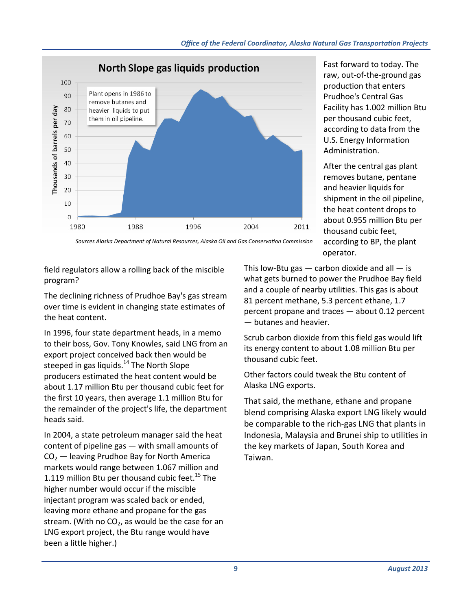

Fast forward to today. The raw, out‐of‐the‐ground gas production that enters Prudhoe's Central Gas Facility has 1.002 million Btu per thousand cubic feet, according to data from the U.S. Energy Information Administration.

After the central gas plant removes butane, pentane and heavier liquids for shipment in the oil pipeline, the heat content drops to about 0.955 million Btu per thousand cubic feet, according to BP, the plant operator.

*Sources Alaska Department of Natural Resources, Alaska Oil and Gas ConservaƟon Commission* 

field regulators allow a rolling back of the miscible program?

The declining richness of Prudhoe Bay's gas stream over time is evident in changing state estimates of the heat content.

In 1996, four state department heads, in a memo to their boss, Gov. Tony Knowles, said LNG from an export project conceived back then would be steeped in gas liquids. $14$  The North Slope producers estimated the heat content would be about 1.17 million Btu per thousand cubic feet for the first 10 years, then average 1.1 million Btu for the remainder of the project's life, the department heads said.

In 2004, a state petroleum manager said the heat content of pipeline gas — with small amounts of  $CO<sub>2</sub>$  — leaving Prudhoe Bay for North America markets would range between 1.067 million and 1.119 million Btu per thousand cubic feet.<sup>15</sup> The higher number would occur if the miscible injectant program was scaled back or ended, leaving more ethane and propane for the gas stream. (With no  $CO<sub>2</sub>$ , as would be the case for an LNG export project, the Btu range would have been a little higher.)

This low-Btu gas  $-$  carbon dioxide and all  $-$  is what gets burned to power the Prudhoe Bay field and a couple of nearby utilities. This gas is about 81 percent methane, 5.3 percent ethane, 1.7 percent propane and traces — about 0.12 percent — butanes and heavier.

Scrub carbon dioxide from this field gas would lift its energy content to about 1.08 million Btu per thousand cubic feet.

Other factors could tweak the Btu content of Alaska LNG exports.

That said, the methane, ethane and propane blend comprising Alaska export LNG likely would be comparable to the rich‐gas LNG that plants in Indonesia, Malaysia and Brunei ship to utilities in the key markets of Japan, South Korea and Taiwan.